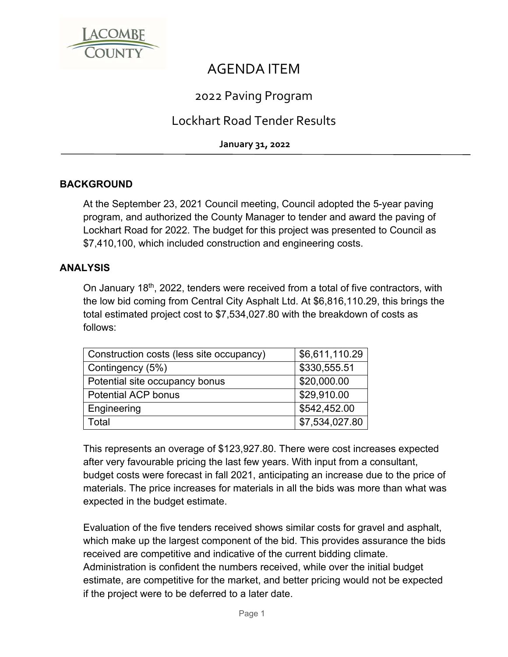

# AGENDA ITEM

# 2022 Paving Program

# Lockhart Road Tender Results

**January 31, 2022**

## **BACKGROUND**

At the September 23, 2021 Council meeting, Council adopted the 5-year paving program, and authorized the County Manager to tender and award the paving of Lockhart Road for 2022. The budget for this project was presented to Council as \$7,410,100, which included construction and engineering costs.

#### **ANALYSIS**

On January 18th, 2022, tenders were received from a total of five contractors, with the low bid coming from Central City Asphalt Ltd. At \$6,816,110.29, this brings the total estimated project cost to \$7,534,027.80 with the breakdown of costs as follows:

| Construction costs (less site occupancy) | \$6,611,110.29 |
|------------------------------------------|----------------|
| Contingency (5%)                         | \$330,555.51   |
| Potential site occupancy bonus           | \$20,000.00    |
| <b>Potential ACP bonus</b>               | \$29,910.00    |
| Engineering                              | \$542,452.00   |
| Total                                    | \$7,534,027.80 |

This represents an overage of \$123,927.80. There were cost increases expected after very favourable pricing the last few years. With input from a consultant, budget costs were forecast in fall 2021, anticipating an increase due to the price of materials. The price increases for materials in all the bids was more than what was expected in the budget estimate.

Evaluation of the five tenders received shows similar costs for gravel and asphalt, which make up the largest component of the bid. This provides assurance the bids received are competitive and indicative of the current bidding climate. Administration is confident the numbers received, while over the initial budget estimate, are competitive for the market, and better pricing would not be expected if the project were to be deferred to a later date.